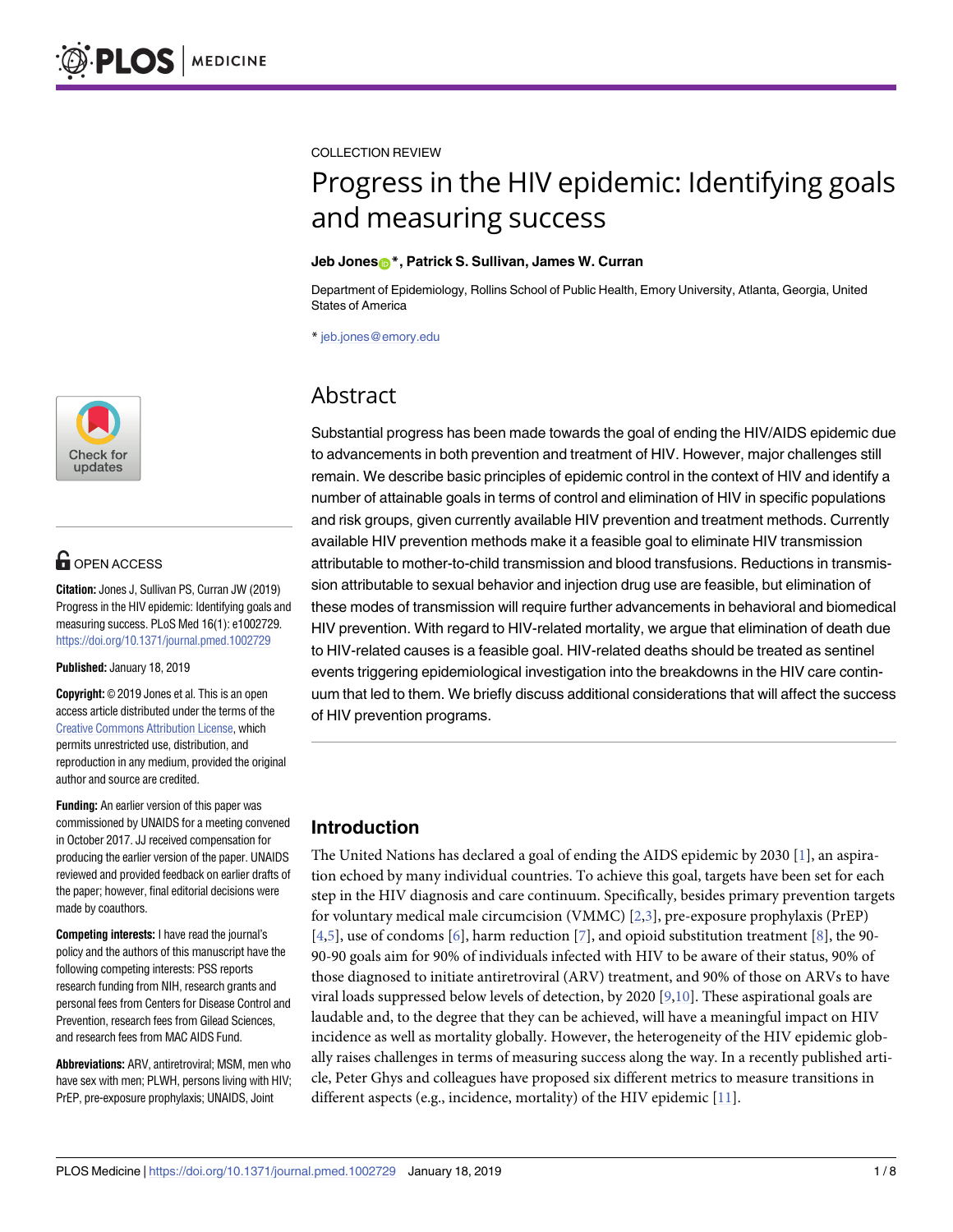

# **G** OPEN ACCESS

**Citation:** Jones J, Sullivan PS, Curran JW (2019) Progress in the HIV epidemic: Identifying goals and measuring success. PLoS Med 16(1): e1002729. <https://doi.org/10.1371/journal.pmed.1002729>

**Published:** January 18, 2019

**Copyright:** © 2019 Jones et al. This is an open access article distributed under the terms of the Creative Commons [Attribution](http://creativecommons.org/licenses/by/4.0/) License, which permits unrestricted use, distribution, and reproduction in any medium, provided the original author and source are credited.

**Funding:** An earlier version of this paper was commissioned by UNAIDS for a meeting convened in October 2017. JJ received compensation for producing the earlier version of the paper. UNAIDS reviewed and provided feedback on earlier drafts of the paper; however, final editorial decisions were made by coauthors.

**Competing interests:** I have read the journal's policy and the authors of this manuscript have the following competing interests: PSS reports research funding from NIH, research grants and personal fees from Centers for Disease Control and Prevention, research fees from Gilead Sciences, and research fees from MAC AIDS Fund.

**Abbreviations:** ARV, antiretroviral; MSM, men who have sex with men; PLWH, persons living with HIV; PrEP, pre-exposure prophylaxis; UNAIDS, Joint

<span id="page-0-0"></span>COLLECTION REVIEW

# Progress in the HIV epidemic: Identifying goals and measuring success

#### **Jeb Jone[sID](http://orcid.org/0000-0001-9165-1658)\*, Patrick S. Sullivan, James W. Curran**

Department of Epidemiology, Rollins School of Public Health, Emory University, Atlanta, Georgia, United States of America

\* jeb.jones@emory.edu

# Abstract

Substantial progress has been made towards the goal of ending the HIV/AIDS epidemic due to advancements in both prevention and treatment of HIV. However, major challenges still remain. We describe basic principles of epidemic control in the context of HIV and identify a number of attainable goals in terms of control and elimination of HIV in specific populations and risk groups, given currently available HIV prevention and treatment methods. Currently available HIV prevention methods make it a feasible goal to eliminate HIV transmission attributable to mother-to-child transmission and blood transfusions. Reductions in transmission attributable to sexual behavior and injection drug use are feasible, but elimination of these modes of transmission will require further advancements in behavioral and biomedical HIV prevention. With regard to HIV-related mortality, we argue that elimination of death due to HIV-related causes is a feasible goal. HIV-related deaths should be treated as sentinel events triggering epidemiological investigation into the breakdowns in the HIV care continuum that led to them. We briefly discuss additional considerations that will affect the success of HIV prevention programs.

## **Introduction**

The United Nations has declared a goal of ending the AIDS epidemic by 2030 [\[1\]](#page-6-0), an aspiration echoed by many individual countries. To achieve this goal, targets have been set for each step in the HIV diagnosis and care continuum. Specifically, besides primary prevention targets for voluntary medical male circumcision (VMMC) [[2](#page-6-0),[3](#page-6-0)], pre-exposure prophylaxis (PrEP) [\[4,5](#page-6-0)], use of condoms [\[6\]](#page-6-0), harm reduction [[7\]](#page-6-0), and opioid substitution treatment [[8](#page-6-0)], the 90- 90-90 goals aim for 90% of individuals infected with HIV to be aware of their status, 90% of those diagnosed to initiate antiretroviral (ARV) treatment, and 90% of those on ARVs to have viral loads suppressed below levels of detection, by 2020 [[9,10](#page-6-0)]. These aspirational goals are laudable and, to the degree that they can be achieved, will have a meaningful impact on HIV incidence as well as mortality globally. However, the heterogeneity of the HIV epidemic globally raises challenges in terms of measuring success along the way. In a recently published article, Peter Ghys and colleagues have proposed six different metrics to measure transitions in different aspects (e.g., incidence, mortality) of the HIV epidemic [\[11\]](#page-7-0).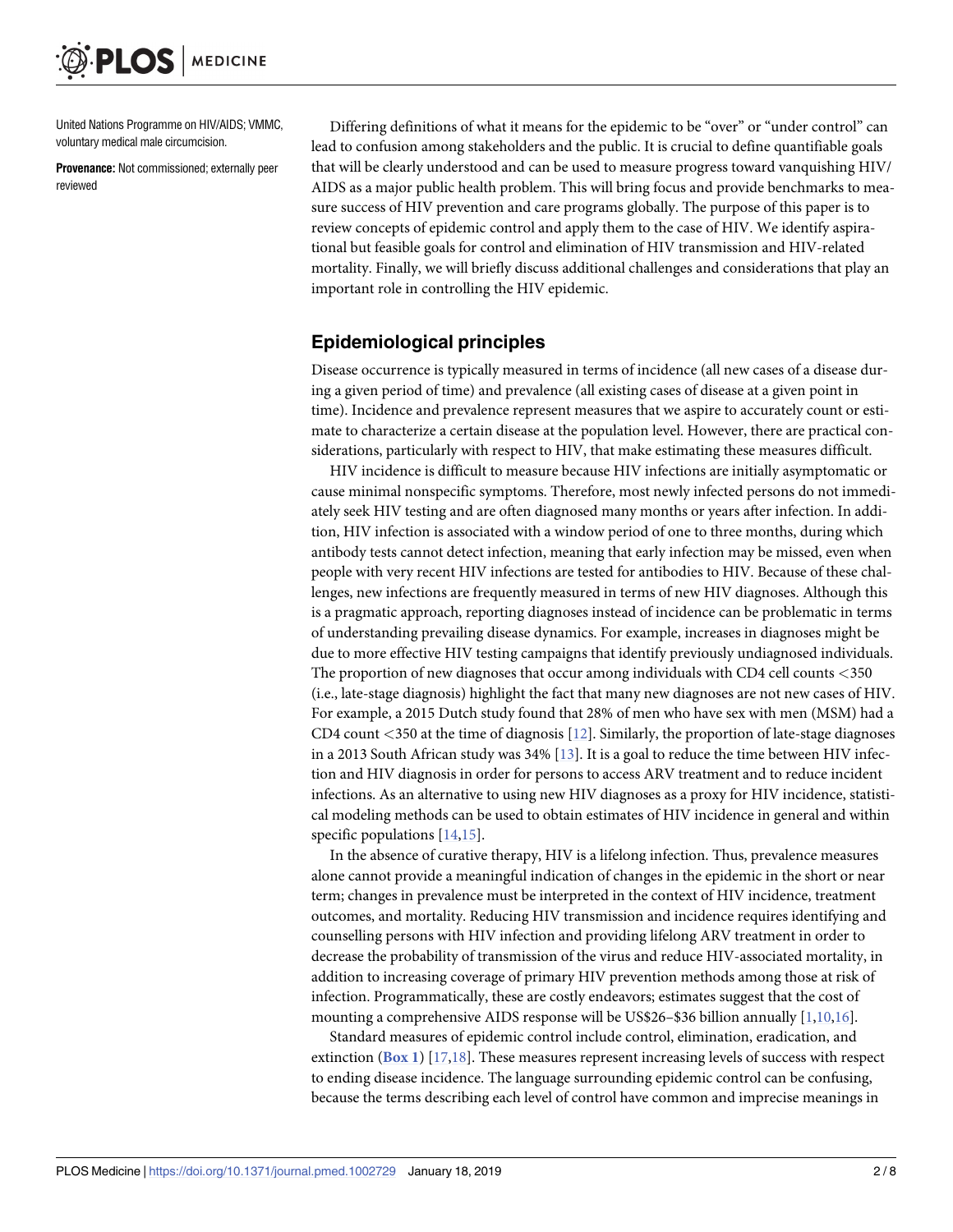<span id="page-1-0"></span>United Nations Programme on HIV/AIDS; VMMC, voluntary medical male circumcision.

**Provenance:** Not commissioned; externally peer reviewed

Differing definitions of what it means for the epidemic to be "over" or "under control" can lead to confusion among stakeholders and the public. It is crucial to define quantifiable goals that will be clearly understood and can be used to measure progress toward vanquishing HIV/ AIDS as a major public health problem. This will bring focus and provide benchmarks to measure success of HIV prevention and care programs globally. The purpose of this paper is to review concepts of epidemic control and apply them to the case of HIV. We identify aspirational but feasible goals for control and elimination of HIV transmission and HIV-related mortality. Finally, we will briefly discuss additional challenges and considerations that play an important role in controlling the HIV epidemic.

#### **Epidemiological principles**

Disease occurrence is typically measured in terms of incidence (all new cases of a disease during a given period of time) and prevalence (all existing cases of disease at a given point in time). Incidence and prevalence represent measures that we aspire to accurately count or estimate to characterize a certain disease at the population level. However, there are practical considerations, particularly with respect to HIV, that make estimating these measures difficult.

HIV incidence is difficult to measure because HIV infections are initially asymptomatic or cause minimal nonspecific symptoms. Therefore, most newly infected persons do not immediately seek HIV testing and are often diagnosed many months or years after infection. In addition, HIV infection is associated with a window period of one to three months, during which antibody tests cannot detect infection, meaning that early infection may be missed, even when people with very recent HIV infections are tested for antibodies to HIV. Because of these challenges, new infections are frequently measured in terms of new HIV diagnoses. Although this is a pragmatic approach, reporting diagnoses instead of incidence can be problematic in terms of understanding prevailing disease dynamics. For example, increases in diagnoses might be due to more effective HIV testing campaigns that identify previously undiagnosed individuals. The proportion of new diagnoses that occur among individuals with CD4 cell counts *<*350 (i.e., late-stage diagnosis) highlight the fact that many new diagnoses are not new cases of HIV. For example, a 2015 Dutch study found that 28% of men who have sex with men (MSM) had a CD4 count *<*350 at the time of diagnosis [\[12\]](#page-7-0). Similarly, the proportion of late-stage diagnoses in a 2013 South African study was 34% [[13](#page-7-0)]. It is a goal to reduce the time between HIV infection and HIV diagnosis in order for persons to access ARV treatment and to reduce incident infections. As an alternative to using new HIV diagnoses as a proxy for HIV incidence, statistical modeling methods can be used to obtain estimates of HIV incidence in general and within specific populations [[14](#page-7-0),[15](#page-7-0)].

In the absence of curative therapy, HIV is a lifelong infection. Thus, prevalence measures alone cannot provide a meaningful indication of changes in the epidemic in the short or near term; changes in prevalence must be interpreted in the context of HIV incidence, treatment outcomes, and mortality. Reducing HIV transmission and incidence requires identifying and counselling persons with HIV infection and providing lifelong ARV treatment in order to decrease the probability of transmission of the virus and reduce HIV-associated mortality, in addition to increasing coverage of primary HIV prevention methods among those at risk of infection. Programmatically, these are costly endeavors; estimates suggest that the cost of mounting a comprehensive AIDS response will be US\$26–\$36 billion annually [[1](#page-6-0),[10](#page-6-0)[,16\]](#page-7-0).

Standard measures of epidemic control include control, elimination, eradication, and extinction (**[Box](#page-2-0) 1**) [\[17,18\]](#page-7-0). These measures represent increasing levels of success with respect to ending disease incidence. The language surrounding epidemic control can be confusing, because the terms describing each level of control have common and imprecise meanings in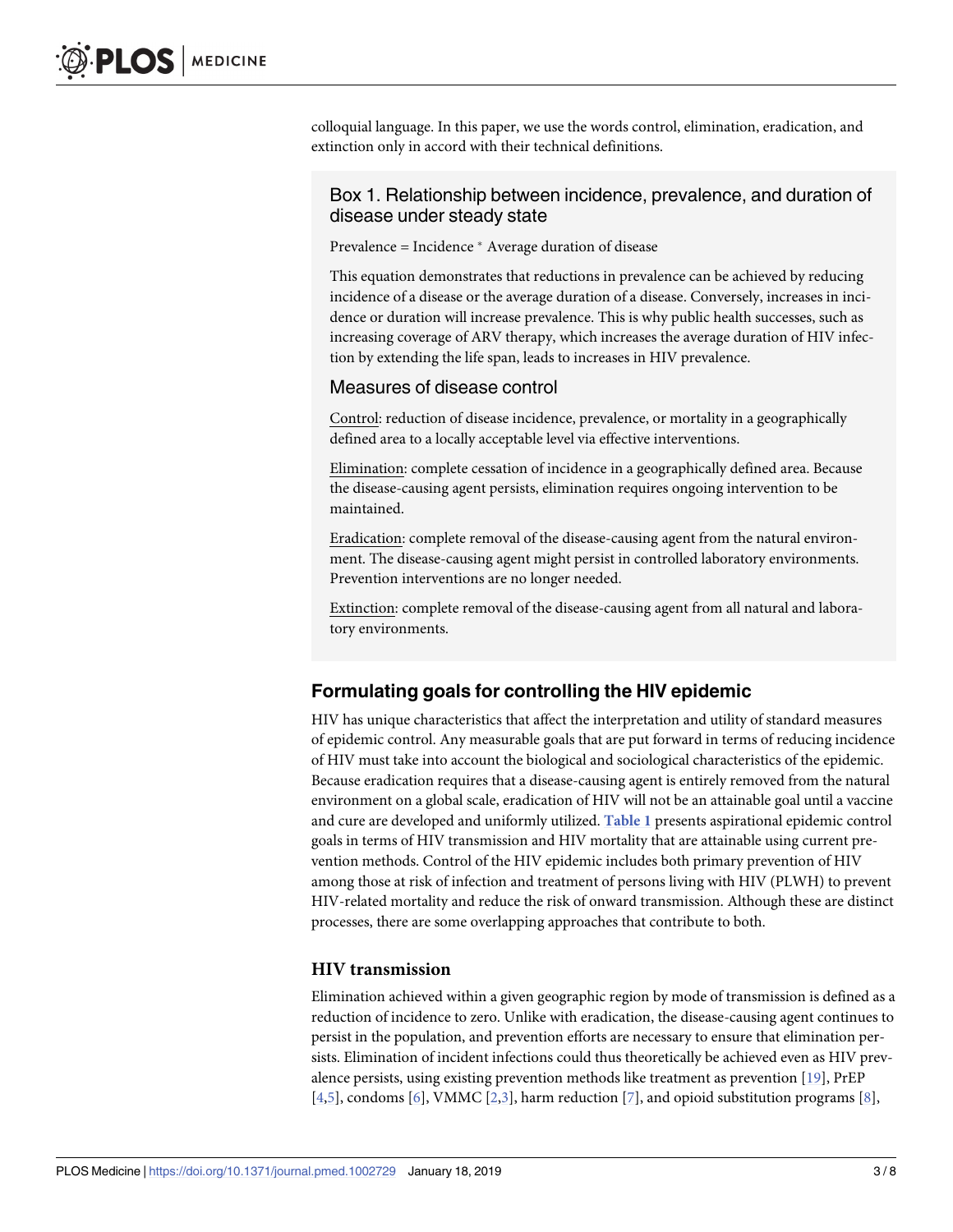<span id="page-2-0"></span>colloquial language. In this paper, we use the words control, elimination, eradication, and extinction only in accord with their technical definitions.

#### Box 1. Relationship between incidence, prevalence, and duration of disease under steady state

Prevalence = Incidence \* Average duration of disease

This equation demonstrates that reductions in prevalence can be achieved by reducing incidence of a disease or the average duration of a disease. Conversely, increases in incidence or duration will increase prevalence. This is why public health successes, such as increasing coverage of ARV therapy, which increases the average duration of HIV infection by extending the life span, leads to increases in HIV prevalence.

#### Measures of disease control

Control: reduction of disease incidence, prevalence, or mortality in a geographically defined area to a locally acceptable level via effective interventions.

Elimination: complete cessation of incidence in a geographically defined area. Because the disease-causing agent persists, elimination requires ongoing intervention to be maintained.

Eradication: complete removal of the disease-causing agent from the natural environment. The disease-causing agent might persist in controlled laboratory environments. Prevention interventions are no longer needed.

Extinction: complete removal of the disease-causing agent from all natural and laboratory environments.

## **Formulating goals for controlling the HIV epidemic**

HIV has unique characteristics that affect the interpretation and utility of standard measures of epidemic control. Any measurable goals that are put forward in terms of reducing incidence of HIV must take into account the biological and sociological characteristics of the epidemic. Because eradication requires that a disease-causing agent is entirely removed from the natural environment on a global scale, eradication of HIV will not be an attainable goal until a vaccine and cure are developed and uniformly utilized. **[Table](#page-3-0) 1** presents aspirational epidemic control goals in terms of HIV transmission and HIV mortality that are attainable using current prevention methods. Control of the HIV epidemic includes both primary prevention of HIV among those at risk of infection and treatment of persons living with HIV (PLWH) to prevent HIV-related mortality and reduce the risk of onward transmission. Although these are distinct processes, there are some overlapping approaches that contribute to both.

#### **HIV transmission**

Elimination achieved within a given geographic region by mode of transmission is defined as a reduction of incidence to zero. Unlike with eradication, the disease-causing agent continues to persist in the population, and prevention efforts are necessary to ensure that elimination persists. Elimination of incident infections could thus theoretically be achieved even as HIV prevalence persists, using existing prevention methods like treatment as prevention [\[19\]](#page-7-0), PrEP  $[4,5]$  $[4,5]$ , condoms  $[6]$  $[6]$  $[6]$ , VMMC  $[2,3]$ , harm reduction  $[7]$ , and opioid substitution programs  $[8]$ ,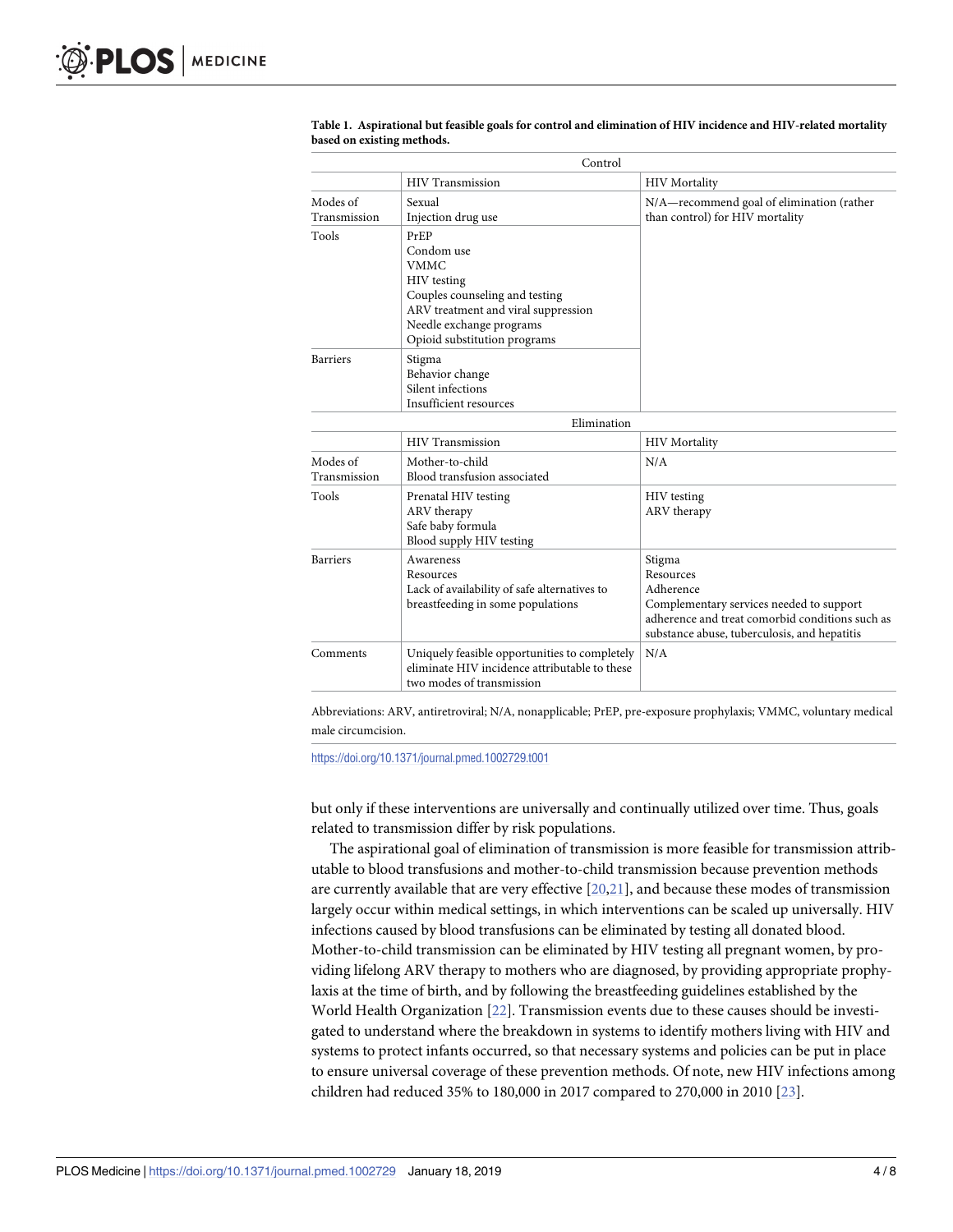|                          | Control                                                                                                                                                                                      |                                                                                                                                                                                 |
|--------------------------|----------------------------------------------------------------------------------------------------------------------------------------------------------------------------------------------|---------------------------------------------------------------------------------------------------------------------------------------------------------------------------------|
|                          | <b>HIV Transmission</b>                                                                                                                                                                      | <b>HIV</b> Mortality                                                                                                                                                            |
| Modes of<br>Transmission | Sexual<br>Injection drug use                                                                                                                                                                 | N/A-recommend goal of elimination (rather<br>than control) for HIV mortality                                                                                                    |
| Tools                    | PrEP<br>Condom use<br><b>VMMC</b><br><b>HIV</b> testing<br>Couples counseling and testing<br>ARV treatment and viral suppression<br>Needle exchange programs<br>Opioid substitution programs |                                                                                                                                                                                 |
| <b>Barriers</b>          | Stigma<br>Behavior change<br>Silent infections<br>Insufficient resources                                                                                                                     |                                                                                                                                                                                 |
|                          | Elimination                                                                                                                                                                                  |                                                                                                                                                                                 |
|                          | <b>HIV Transmission</b>                                                                                                                                                                      | <b>HIV Mortality</b>                                                                                                                                                            |
| Modes of<br>Transmission | Mother-to-child<br>Blood transfusion associated                                                                                                                                              | N/A                                                                                                                                                                             |
| Tools                    | Prenatal HIV testing<br>ARV therapy<br>Safe baby formula<br>Blood supply HIV testing                                                                                                         | HIV testing<br>ARV therapy                                                                                                                                                      |
| <b>Barriers</b>          | Awareness<br>Resources<br>Lack of availability of safe alternatives to<br>breastfeeding in some populations                                                                                  | Stigma<br>Resources<br>Adherence<br>Complementary services needed to support<br>adherence and treat comorbid conditions such as<br>substance abuse, tuberculosis, and hepatitis |
| Comments                 | Uniquely feasible opportunities to completely<br>eliminate HIV incidence attributable to these<br>two modes of transmission                                                                  | N/A                                                                                                                                                                             |

#### <span id="page-3-0"></span>**[Table](#page-2-0) 1. Aspirational but feasible goals for control and elimination of HIV incidence and HIV-related mortality based on existing methods.**

Abbreviations: ARV, antiretroviral; N/A, nonapplicable; PrEP, pre-exposure prophylaxis; VMMC, voluntary medical male circumcision.

<https://doi.org/10.1371/journal.pmed.1002729.t001>

but only if these interventions are universally and continually utilized over time. Thus, goals related to transmission differ by risk populations.

The aspirational goal of elimination of transmission is more feasible for transmission attributable to blood transfusions and mother-to-child transmission because prevention methods are currently available that are very effective [\[20,21](#page-7-0)], and because these modes of transmission largely occur within medical settings, in which interventions can be scaled up universally. HIV infections caused by blood transfusions can be eliminated by testing all donated blood. Mother-to-child transmission can be eliminated by HIV testing all pregnant women, by providing lifelong ARV therapy to mothers who are diagnosed, by providing appropriate prophylaxis at the time of birth, and by following the breastfeeding guidelines established by the World Health Organization [\[22\]](#page-7-0). Transmission events due to these causes should be investigated to understand where the breakdown in systems to identify mothers living with HIV and systems to protect infants occurred, so that necessary systems and policies can be put in place to ensure universal coverage of these prevention methods. Of note, new HIV infections among children had reduced 35% to 180,000 in 2017 compared to 270,000 in 2010 [[23](#page-7-0)].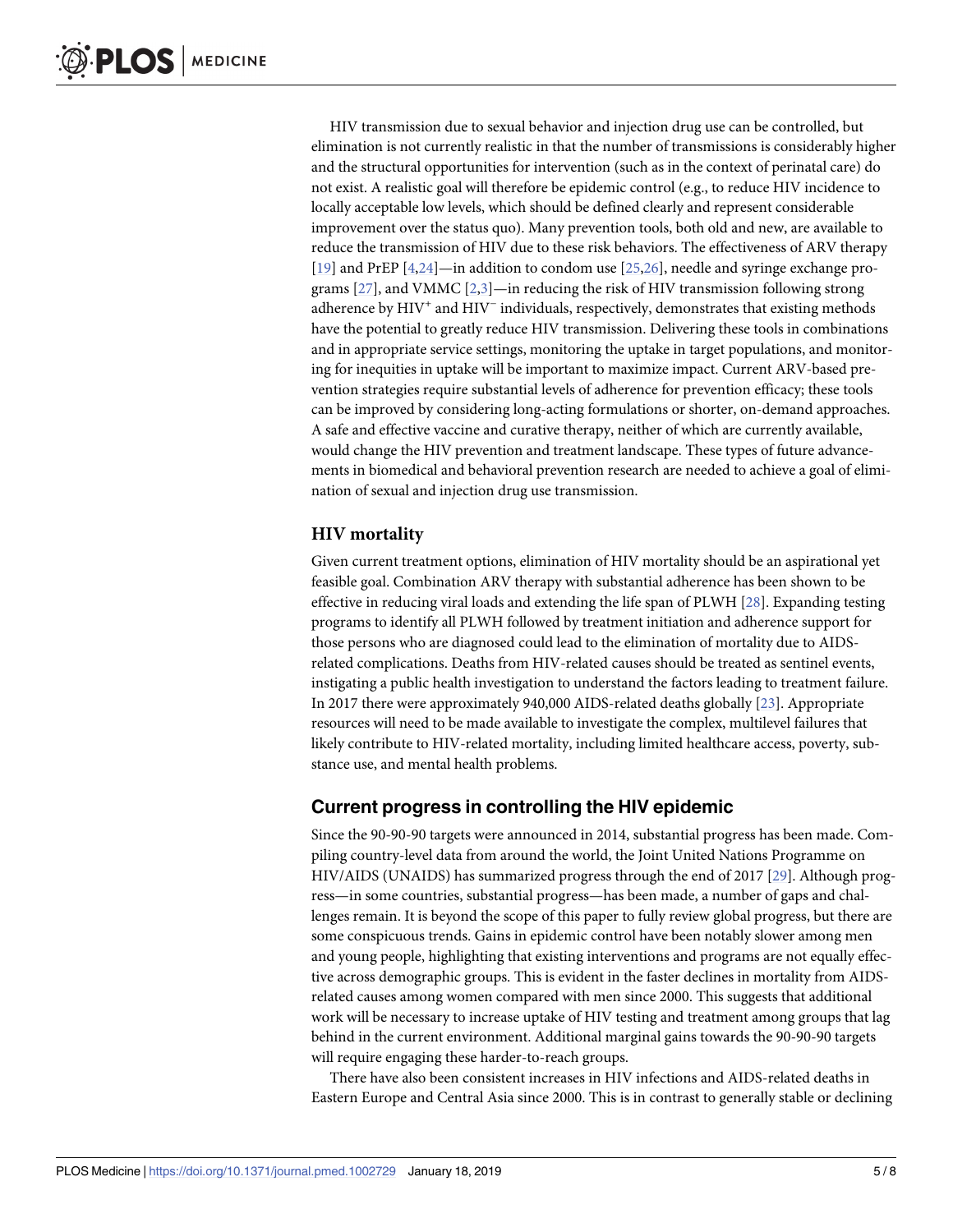<span id="page-4-0"></span>HIV transmission due to sexual behavior and injection drug use can be controlled, but elimination is not currently realistic in that the number of transmissions is considerably higher and the structural opportunities for intervention (such as in the context of perinatal care) do not exist. A realistic goal will therefore be epidemic control (e.g., to reduce HIV incidence to locally acceptable low levels, which should be defined clearly and represent considerable improvement over the status quo). Many prevention tools, both old and new, are available to reduce the transmission of HIV due to these risk behaviors. The effectiveness of ARV therapy [\[19\]](#page-7-0) and PrEP [\[4,](#page-6-0)[24\]](#page-7-0)—in addition to condom use [\[25,26](#page-7-0)], needle and syringe exchange programs  $[27]$ , and VMMC  $[2,3]$  $[2,3]$ —in reducing the risk of HIV transmission following strong adherence by HIV<sup>+</sup> and HIV<sup>-</sup> individuals, respectively, demonstrates that existing methods have the potential to greatly reduce HIV transmission. Delivering these tools in combinations and in appropriate service settings, monitoring the uptake in target populations, and monitoring for inequities in uptake will be important to maximize impact. Current ARV-based prevention strategies require substantial levels of adherence for prevention efficacy; these tools can be improved by considering long-acting formulations or shorter, on-demand approaches. A safe and effective vaccine and curative therapy, neither of which are currently available, would change the HIV prevention and treatment landscape. These types of future advancements in biomedical and behavioral prevention research are needed to achieve a goal of elimination of sexual and injection drug use transmission.

#### **HIV mortality**

Given current treatment options, elimination of HIV mortality should be an aspirational yet feasible goal. Combination ARV therapy with substantial adherence has been shown to be effective in reducing viral loads and extending the life span of PLWH [\[28\]](#page-7-0). Expanding testing programs to identify all PLWH followed by treatment initiation and adherence support for those persons who are diagnosed could lead to the elimination of mortality due to AIDSrelated complications. Deaths from HIV-related causes should be treated as sentinel events, instigating a public health investigation to understand the factors leading to treatment failure. In 2017 there were approximately 940,000 AIDS-related deaths globally [[23](#page-7-0)]. Appropriate resources will need to be made available to investigate the complex, multilevel failures that likely contribute to HIV-related mortality, including limited healthcare access, poverty, substance use, and mental health problems.

### **Current progress in controlling the HIV epidemic**

Since the 90-90-90 targets were announced in 2014, substantial progress has been made. Compiling country-level data from around the world, the Joint United Nations Programme on HIV/AIDS (UNAIDS) has summarized progress through the end of 2017 [\[29\]](#page-7-0). Although progress—in some countries, substantial progress—has been made, a number of gaps and challenges remain. It is beyond the scope of this paper to fully review global progress, but there are some conspicuous trends. Gains in epidemic control have been notably slower among men and young people, highlighting that existing interventions and programs are not equally effective across demographic groups. This is evident in the faster declines in mortality from AIDSrelated causes among women compared with men since 2000. This suggests that additional work will be necessary to increase uptake of HIV testing and treatment among groups that lag behind in the current environment. Additional marginal gains towards the 90-90-90 targets will require engaging these harder-to-reach groups.

There have also been consistent increases in HIV infections and AIDS-related deaths in Eastern Europe and Central Asia since 2000. This is in contrast to generally stable or declining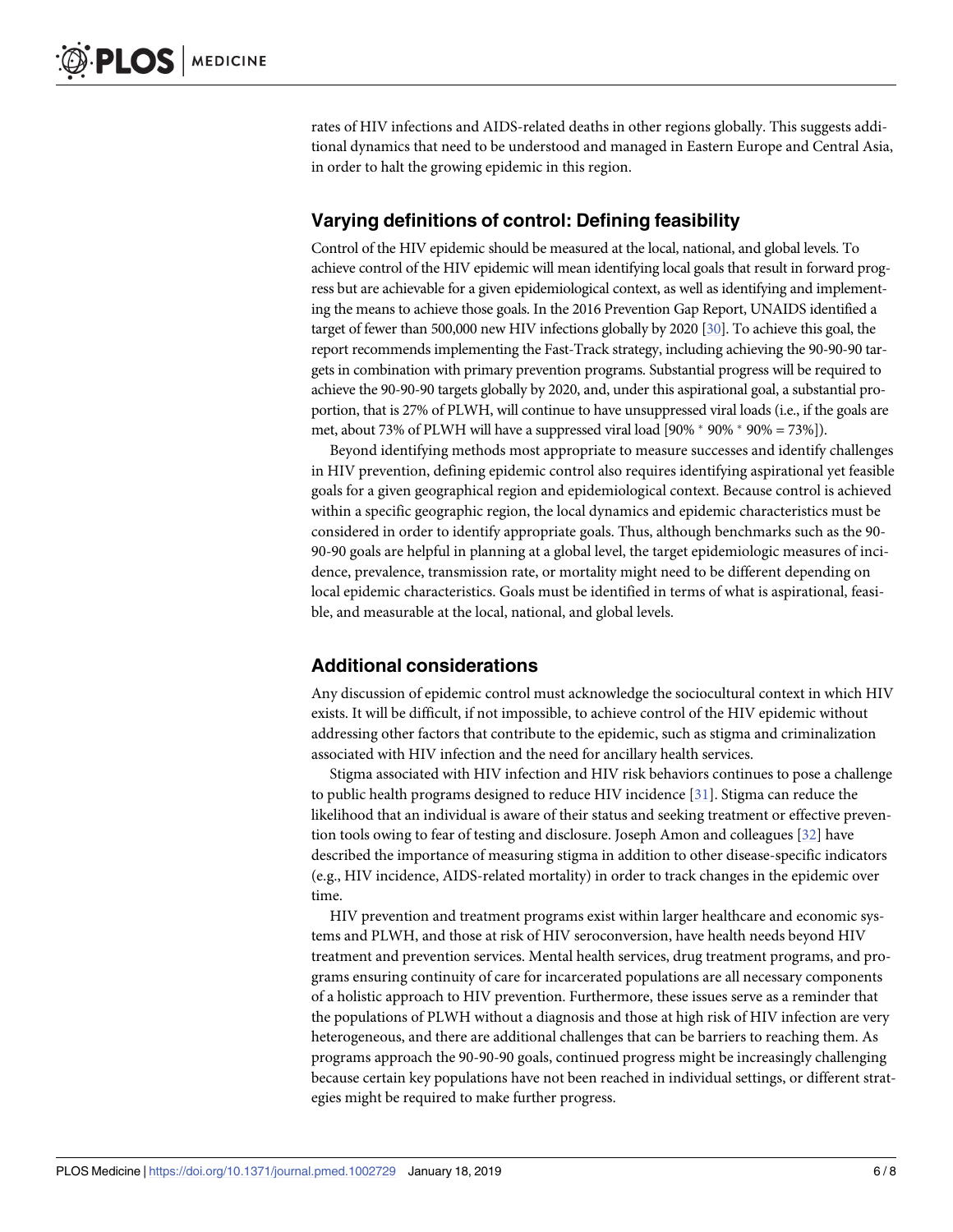<span id="page-5-0"></span>rates of HIV infections and AIDS-related deaths in other regions globally. This suggests additional dynamics that need to be understood and managed in Eastern Europe and Central Asia, in order to halt the growing epidemic in this region.

#### **Varying definitions of control: Defining feasibility**

Control of the HIV epidemic should be measured at the local, national, and global levels. To achieve control of the HIV epidemic will mean identifying local goals that result in forward progress but are achievable for a given epidemiological context, as well as identifying and implementing the means to achieve those goals. In the 2016 Prevention Gap Report, UNAIDS identified a target of fewer than 500,000 new HIV infections globally by 2020 [\[30](#page-7-0)]. To achieve this goal, the report recommends implementing the Fast-Track strategy, including achieving the 90-90-90 targets in combination with primary prevention programs. Substantial progress will be required to achieve the 90-90-90 targets globally by 2020, and, under this aspirational goal, a substantial proportion, that is 27% of PLWH, will continue to have unsuppressed viral loads (i.e., if the goals are met, about 73% of PLWH will have a suppressed viral load  $[90\% * 90\% * 90\% = 73\%]$ .

Beyond identifying methods most appropriate to measure successes and identify challenges in HIV prevention, defining epidemic control also requires identifying aspirational yet feasible goals for a given geographical region and epidemiological context. Because control is achieved within a specific geographic region, the local dynamics and epidemic characteristics must be considered in order to identify appropriate goals. Thus, although benchmarks such as the 90- 90-90 goals are helpful in planning at a global level, the target epidemiologic measures of incidence, prevalence, transmission rate, or mortality might need to be different depending on local epidemic characteristics. Goals must be identified in terms of what is aspirational, feasible, and measurable at the local, national, and global levels.

### **Additional considerations**

Any discussion of epidemic control must acknowledge the sociocultural context in which HIV exists. It will be difficult, if not impossible, to achieve control of the HIV epidemic without addressing other factors that contribute to the epidemic, such as stigma and criminalization associated with HIV infection and the need for ancillary health services.

Stigma associated with HIV infection and HIV risk behaviors continues to pose a challenge to public health programs designed to reduce HIV incidence [\[31\]](#page-7-0). Stigma can reduce the likelihood that an individual is aware of their status and seeking treatment or effective prevention tools owing to fear of testing and disclosure. Joseph Amon and colleagues [\[32\]](#page-7-0) have described the importance of measuring stigma in addition to other disease-specific indicators (e.g., HIV incidence, AIDS-related mortality) in order to track changes in the epidemic over time.

HIV prevention and treatment programs exist within larger healthcare and economic systems and PLWH, and those at risk of HIV seroconversion, have health needs beyond HIV treatment and prevention services. Mental health services, drug treatment programs, and programs ensuring continuity of care for incarcerated populations are all necessary components of a holistic approach to HIV prevention. Furthermore, these issues serve as a reminder that the populations of PLWH without a diagnosis and those at high risk of HIV infection are very heterogeneous, and there are additional challenges that can be barriers to reaching them. As programs approach the 90-90-90 goals, continued progress might be increasingly challenging because certain key populations have not been reached in individual settings, or different strategies might be required to make further progress.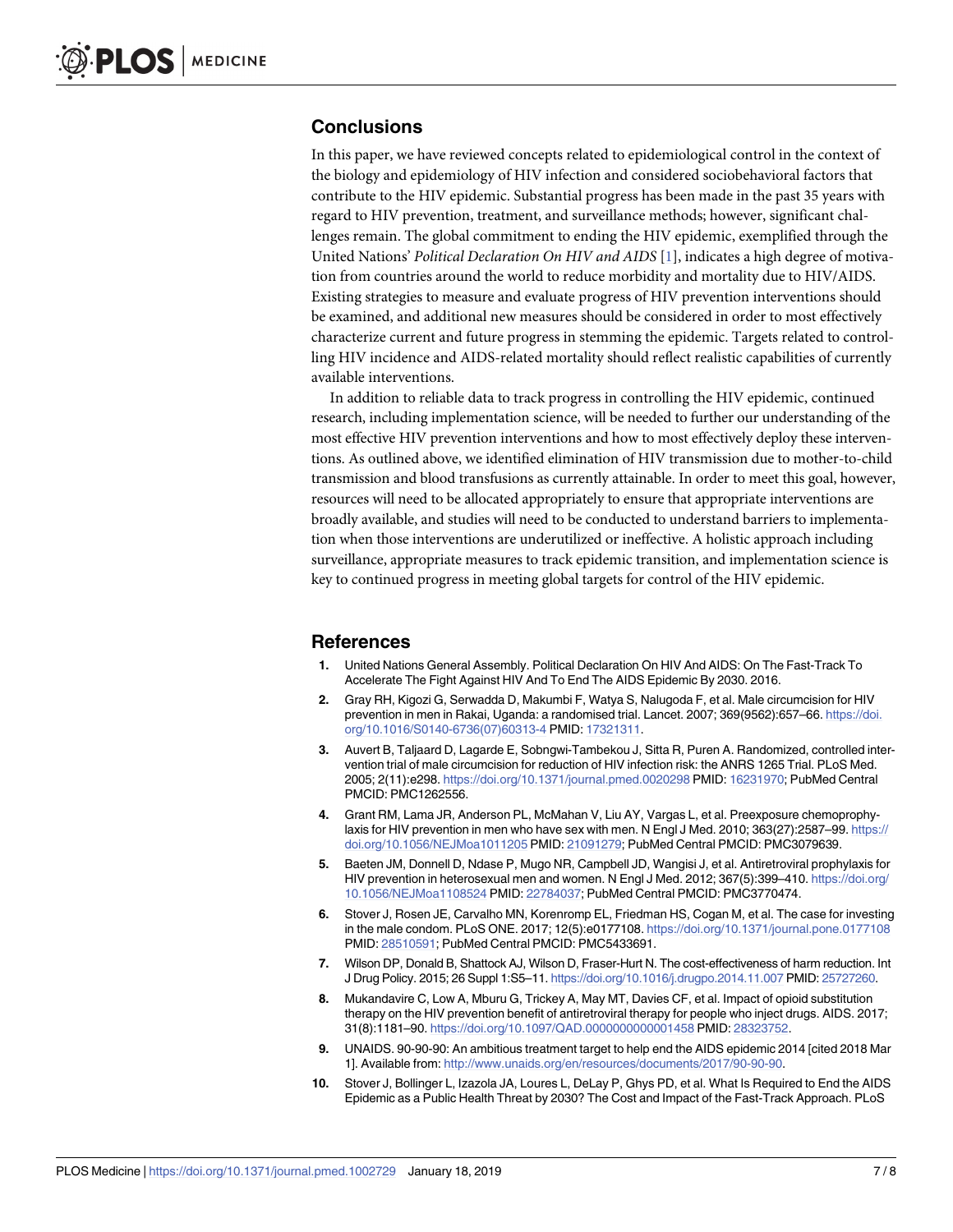#### <span id="page-6-0"></span>**Conclusions**

In this paper, we have reviewed concepts related to epidemiological control in the context of the biology and epidemiology of HIV infection and considered sociobehavioral factors that contribute to the HIV epidemic. Substantial progress has been made in the past 35 years with regard to HIV prevention, treatment, and surveillance methods; however, significant challenges remain. The global commitment to ending the HIV epidemic, exemplified through the United Nations' *Political Declaration On HIV and AIDS* [1], indicates a high degree of motivation from countries around the world to reduce morbidity and mortality due to HIV/AIDS. Existing strategies to measure and evaluate progress of HIV prevention interventions should be examined, and additional new measures should be considered in order to most effectively characterize current and future progress in stemming the epidemic. Targets related to controlling HIV incidence and AIDS-related mortality should reflect realistic capabilities of currently available interventions.

In addition to reliable data to track progress in controlling the HIV epidemic, continued research, including implementation science, will be needed to further our understanding of the most effective HIV prevention interventions and how to most effectively deploy these interventions. As outlined above, we identified elimination of HIV transmission due to mother-to-child transmission and blood transfusions as currently attainable. In order to meet this goal, however, resources will need to be allocated appropriately to ensure that appropriate interventions are broadly available, and studies will need to be conducted to understand barriers to implementation when those interventions are underutilized or ineffective. A holistic approach including surveillance, appropriate measures to track epidemic transition, and implementation science is key to continued progress in meeting global targets for control of the HIV epidemic.

#### **References**

- **[1](#page-0-0).** United Nations General Assembly. Political Declaration On HIV And AIDS: On The Fast-Track To Accelerate The Fight Against HIV And To End The AIDS Epidemic By 2030. 2016.
- **[2](#page-0-0).** Gray RH, Kigozi G, Serwadda D, Makumbi F, Watya S, Nalugoda F, et al. Male circumcision for HIV prevention in men in Rakai, Uganda: a randomised trial. Lancet. 2007; 369(9562):657–66. [https://doi.](https://doi.org/10.1016/S0140-6736(07)60313-4) [org/10.1016/S0140-6736\(07\)60313-4](https://doi.org/10.1016/S0140-6736(07)60313-4) PMID: [17321311.](http://www.ncbi.nlm.nih.gov/pubmed/17321311)
- **[3](#page-0-0).** Auvert B, Taljaard D, Lagarde E, Sobngwi-Tambekou J, Sitta R, Puren A. Randomized, controlled intervention trial of male circumcision for reduction of HIV infection risk: the ANRS 1265 Trial. PLoS Med. 2005; 2(11):e298. <https://doi.org/10.1371/journal.pmed.0020298> PMID: [16231970;](http://www.ncbi.nlm.nih.gov/pubmed/16231970) PubMed Central PMCID: PMC1262556.
- **[4](#page-0-0).** Grant RM, Lama JR, Anderson PL, McMahan V, Liu AY, Vargas L, et al. Preexposure chemoprophylaxis for HIV prevention in men who have sex with men. N Engl J Med. 2010; 363(27):2587–99. [https://](https://doi.org/10.1056/NEJMoa1011205) [doi.org/10.1056/NEJMoa1011205](https://doi.org/10.1056/NEJMoa1011205) PMID: [21091279](http://www.ncbi.nlm.nih.gov/pubmed/21091279); PubMed Central PMCID: PMC3079639.
- **[5](#page-0-0).** Baeten JM, Donnell D, Ndase P, Mugo NR, Campbell JD, Wangisi J, et al. Antiretroviral prophylaxis for HIV prevention in heterosexual men and women. N Engl J Med. 2012; 367(5):399–410. [https://doi.org/](https://doi.org/10.1056/NEJMoa1108524) [10.1056/NEJMoa1108524](https://doi.org/10.1056/NEJMoa1108524) PMID: [22784037](http://www.ncbi.nlm.nih.gov/pubmed/22784037); PubMed Central PMCID: PMC3770474.
- **[6](#page-0-0).** Stover J, Rosen JE, Carvalho MN, Korenromp EL, Friedman HS, Cogan M, et al. The case for investing in the male condom. PLoS ONE. 2017; 12(5):e0177108. <https://doi.org/10.1371/journal.pone.0177108> PMID: [28510591](http://www.ncbi.nlm.nih.gov/pubmed/28510591); PubMed Central PMCID: PMC5433691.
- **[7](#page-0-0).** Wilson DP, Donald B, Shattock AJ, Wilson D, Fraser-Hurt N. The cost-effectiveness of harm reduction. Int J Drug Policy. 2015; 26 Suppl 1:S5–11. <https://doi.org/10.1016/j.drugpo.2014.11.007> PMID: [25727260](http://www.ncbi.nlm.nih.gov/pubmed/25727260).
- **[8](#page-0-0).** Mukandavire C, Low A, Mburu G, Trickey A, May MT, Davies CF, et al. Impact of opioid substitution therapy on the HIV prevention benefit of antiretroviral therapy for people who inject drugs. AIDS. 2017; 31(8):1181–90. <https://doi.org/10.1097/QAD.0000000000001458> PMID: [28323752.](http://www.ncbi.nlm.nih.gov/pubmed/28323752)
- **[9](#page-0-0).** UNAIDS. 90-90-90: An ambitious treatment target to help end the AIDS epidemic 2014 [cited 2018 Mar 1]. Available from: [http://www.unaids.org/en/resources/documents/2017/90-90-90.](http://www.unaids.org/en/resources/documents/2017/90-90-90)
- **[10](#page-0-0).** Stover J, Bollinger L, Izazola JA, Loures L, DeLay P, Ghys PD, et al. What Is Required to End the AIDS Epidemic as a Public Health Threat by 2030? The Cost and Impact of the Fast-Track Approach. PLoS